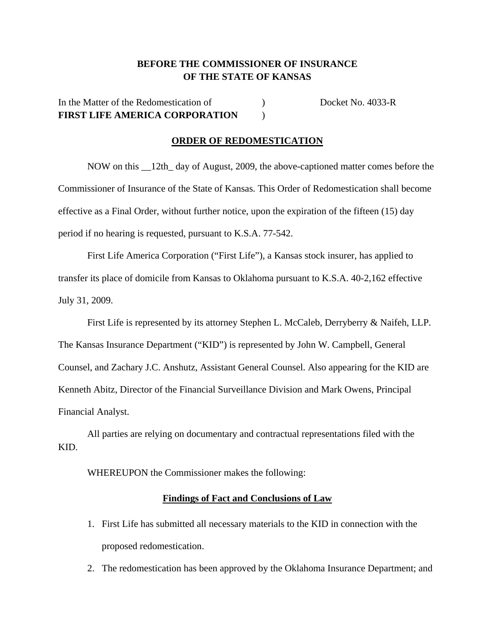## **BEFORE THE COMMISSIONER OF INSURANCE OF THE STATE OF KANSAS**

# In the Matter of the Redomestication of  $Docket No. 4033-R$ **FIRST LIFE AMERICA CORPORATION** )

### **ORDER OF REDOMESTICATION**

 NOW on this \_\_12th\_ day of August, 2009, the above-captioned matter comes before the Commissioner of Insurance of the State of Kansas. This Order of Redomestication shall become effective as a Final Order, without further notice, upon the expiration of the fifteen (15) day period if no hearing is requested, pursuant to K.S.A. 77-542.

 First Life America Corporation ("First Life"), a Kansas stock insurer, has applied to transfer its place of domicile from Kansas to Oklahoma pursuant to K.S.A. 40-2,162 effective July 31, 2009.

 First Life is represented by its attorney Stephen L. McCaleb, Derryberry & Naifeh, LLP. The Kansas Insurance Department ("KID") is represented by John W. Campbell, General Counsel, and Zachary J.C. Anshutz, Assistant General Counsel. Also appearing for the KID are Kenneth Abitz, Director of the Financial Surveillance Division and Mark Owens, Principal Financial Analyst.

 All parties are relying on documentary and contractual representations filed with the KID.

WHEREUPON the Commissioner makes the following:

#### **Findings of Fact and Conclusions of Law**

- 1. First Life has submitted all necessary materials to the KID in connection with the proposed redomestication.
- 2. The redomestication has been approved by the Oklahoma Insurance Department; and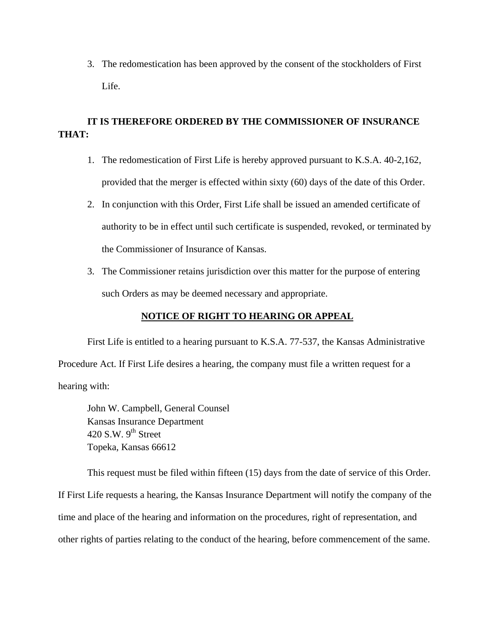3. The redomestication has been approved by the consent of the stockholders of First Life.

## **IT IS THEREFORE ORDERED BY THE COMMISSIONER OF INSURANCE THAT:**

- 1. The redomestication of First Life is hereby approved pursuant to K.S.A. 40-2,162, provided that the merger is effected within sixty (60) days of the date of this Order.
- 2. In conjunction with this Order, First Life shall be issued an amended certificate of authority to be in effect until such certificate is suspended, revoked, or terminated by the Commissioner of Insurance of Kansas.
- 3. The Commissioner retains jurisdiction over this matter for the purpose of entering such Orders as may be deemed necessary and appropriate.

## **NOTICE OF RIGHT TO HEARING OR APPEAL**

First Life is entitled to a hearing pursuant to K.S.A. 77-537, the Kansas Administrative Procedure Act. If First Life desires a hearing, the company must file a written request for a hearing with:

 John W. Campbell, General Counsel Kansas Insurance Department 420 S.W.  $9<sup>th</sup>$  Street Topeka, Kansas 66612

This request must be filed within fifteen (15) days from the date of service of this Order. If First Life requests a hearing, the Kansas Insurance Department will notify the company of the time and place of the hearing and information on the procedures, right of representation, and other rights of parties relating to the conduct of the hearing, before commencement of the same.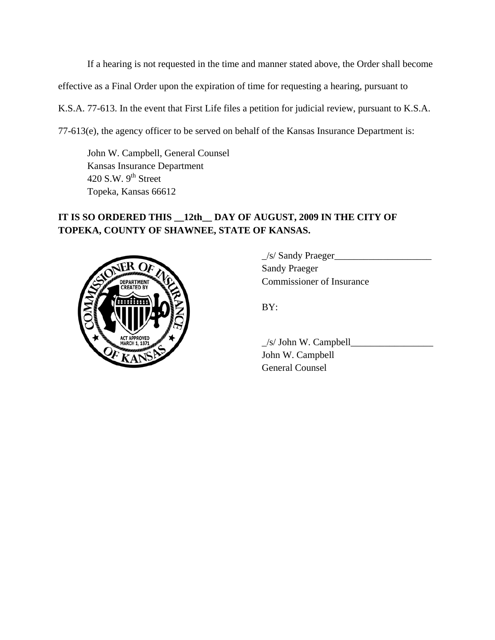If a hearing is not requested in the time and manner stated above, the Order shall become effective as a Final Order upon the expiration of time for requesting a hearing, pursuant to K.S.A. 77-613. In the event that First Life files a petition for judicial review, pursuant to K.S.A. 77-613(e), the agency officer to be served on behalf of the Kansas Insurance Department is:

 John W. Campbell, General Counsel Kansas Insurance Department 420 S.W.  $9<sup>th</sup>$  Street Topeka, Kansas 66612

# **IT IS SO ORDERED THIS \_\_12th\_\_ DAY OF AUGUST, 2009 IN THE CITY OF TOPEKA, COUNTY OF SHAWNEE, STATE OF KANSAS.**



 $\angle$ s/ Sandy Praeger Sandy Praeger COMMISSIONER COMMISSIONER OF Insurance

 $\angle$ s/ John W. Campbell $\angle$  John W. Campbell General Counsel